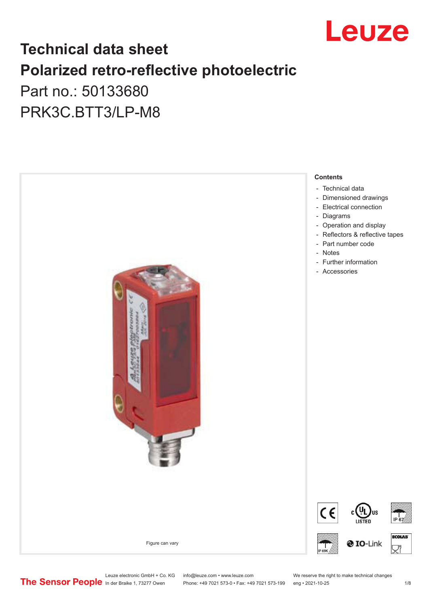

## **Technical data sheet Polarized retro-reflective photoelectric**  Part no.: 50133680

PRK3C.BTT3/LP-M8



Leuze electronic GmbH + Co. KG info@leuze.com • www.leuze.com We reserve the right to make technical changes<br>
The Sensor People in der Braike 1, 73277 Owen Phone: +49 7021 573-0 • Fax: +49 7021 573-199 eng • 2021-10-25

Phone: +49 7021 573-0 • Fax: +49 7021 573-199 eng • 2021-10-25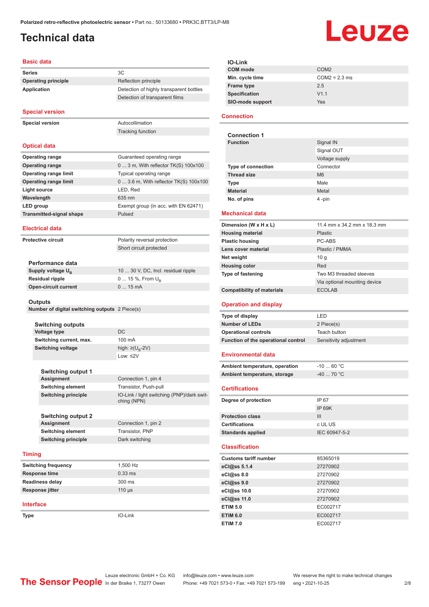## <span id="page-1-0"></span>**Technical data**

# Leuze

#### **Basic data**

|                                 | <b>Series</b>                                             | 3C                                      |  |
|---------------------------------|-----------------------------------------------------------|-----------------------------------------|--|
| <b>Operating principle</b>      |                                                           | Reflection principle                    |  |
|                                 | <b>Application</b>                                        | Detection of highly transparent bottles |  |
|                                 |                                                           | Detection of transparent films          |  |
|                                 |                                                           |                                         |  |
|                                 | <b>Special version</b>                                    |                                         |  |
|                                 | <b>Special version</b>                                    | Autocollimation                         |  |
|                                 |                                                           | <b>Tracking function</b>                |  |
|                                 |                                                           |                                         |  |
|                                 | <b>Optical data</b>                                       |                                         |  |
|                                 | <b>Operating range</b>                                    | Guaranteed operating range              |  |
|                                 | <b>Operating range</b>                                    | $03$ m, With reflector TK(S) $100x100$  |  |
| <b>Operating range limit</b>    |                                                           | Typical operating range                 |  |
| <b>Operating range limit</b>    |                                                           | 0  3.6 m, With reflector TK(S) 100x100  |  |
| <b>Light source</b>             |                                                           | LED, Red                                |  |
| Wavelength                      |                                                           | 635 nm                                  |  |
| <b>LED</b> group                |                                                           | Exempt group (in acc. with EN 62471)    |  |
| <b>Transmitted-signal shape</b> |                                                           | Pulsed                                  |  |
|                                 |                                                           |                                         |  |
|                                 | <b>Electrical data</b>                                    |                                         |  |
|                                 | <b>Protective circuit</b>                                 | Polarity reversal protection            |  |
|                                 |                                                           | Short circuit protected                 |  |
|                                 |                                                           |                                         |  |
|                                 | Performance data                                          |                                         |  |
|                                 | Supply voltage U <sub>B</sub>                             | 10  30 V, DC, Incl. residual ripple     |  |
|                                 | <b>Residual ripple</b>                                    | 0  15 %, From $U_{\rm B}$               |  |
|                                 | <b>Open-circuit current</b>                               | 015mA                                   |  |
|                                 |                                                           |                                         |  |
|                                 | Outputs<br>Number of digital ewitching outpute 2 Piece(s) |                                         |  |
|                                 |                                                           |                                         |  |

| Number of digital switching outputs 2 Piece(s) |  |  |
|------------------------------------------------|--|--|
|------------------------------------------------|--|--|

**Switching outputs Voltage type** DC **Switching current, max.** 100 mA **Switching voltage** 

high:  $\geq (U_{\text{B}} - 2V)$ Low: ≤2V **Switching output 1 Connection 1, pin 4 Switching element** Transistor, Push-pull

**Switching principle** IO-Link / light switching (PNP)/dark switching (NPN) **Switching output 2**

Connection 1, pin 2 **Switching element** Transistor, PNP **Switching principle** Dark switching

#### **Timing**

| <b>Switching frequency</b> | 1.500 Hz         |
|----------------------------|------------------|
| Response time              | $0.33$ ms        |
| <b>Readiness delay</b>     | $300 \text{ ms}$ |
| Response jitter            | $110$ us         |
|                            |                  |

#### **Interface**

**Type** IO-Link

| <b>IO-Link</b>       |                  |
|----------------------|------------------|
| <b>COM</b> mode      | COM <sub>2</sub> |
| Min. cycle time      | $COM2 = 2.3$ ms  |
| <b>Frame type</b>    | 2.5              |
| <b>Specification</b> | V1.1             |
| SIO-mode support     | Yes              |

#### **Connection**

| <b>Connection 1</b>       |                |
|---------------------------|----------------|
| <b>Function</b>           | Signal IN      |
|                           | Signal OUT     |
|                           | Voltage supply |
| <b>Type of connection</b> | Connector      |
| <b>Thread size</b>        | M <sub>8</sub> |
| <b>Type</b>               | Male           |
| <b>Material</b>           | Metal          |
| No. of pins               | 4-pin          |

#### **Mechanical data**

| Dimension (W x H x L)             | 11.4 mm x 34.2 mm x 18.3 mm  |
|-----------------------------------|------------------------------|
| <b>Housing material</b>           | <b>Plastic</b>               |
| <b>Plastic housing</b>            | PC-ABS                       |
| Lens cover material               | Plastic / PMMA               |
| Net weight                        | 10q                          |
| <b>Housing color</b>              | Red                          |
| Type of fastening                 | Two M3 threaded sleeves      |
|                                   | Via optional mounting device |
| <b>Compatibility of materials</b> | <b>ECOLAB</b>                |

#### **Operation and display**

| Type of display                     | I FD                   |
|-------------------------------------|------------------------|
| <b>Number of LEDs</b>               | 2 Piece(s)             |
| <b>Operational controls</b>         | Teach button           |
| Function of the operational control | Sensitivity adjustment |

#### **Environmental data**

| Ambient temperature, operation | -10  60 °C |  |
|--------------------------------|------------|--|
| Ambient temperature, storage   | -40  70 °C |  |
|                                |            |  |

#### **Certifications**

| Degree of protection     | IP 67         |
|--------------------------|---------------|
|                          | IP 69K        |
| <b>Protection class</b>  | Ш             |
| <b>Certifications</b>    | c UL US       |
| <b>Standards applied</b> | IEC 60947-5-2 |
|                          |               |

#### **Classification**

| <b>Customs tariff number</b> | 85365019 |  |
|------------------------------|----------|--|
| eCl@ss 5.1.4                 | 27270902 |  |
| eCl@ss 8.0                   | 27270902 |  |
| eCl@ss 9.0                   | 27270902 |  |
| eCl@ss 10.0                  | 27270902 |  |
| eCl@ss 11.0                  | 27270902 |  |
| <b>ETIM 5.0</b>              | EC002717 |  |
| <b>ETIM 6.0</b>              | EC002717 |  |
| <b>ETIM 7.0</b>              | EC002717 |  |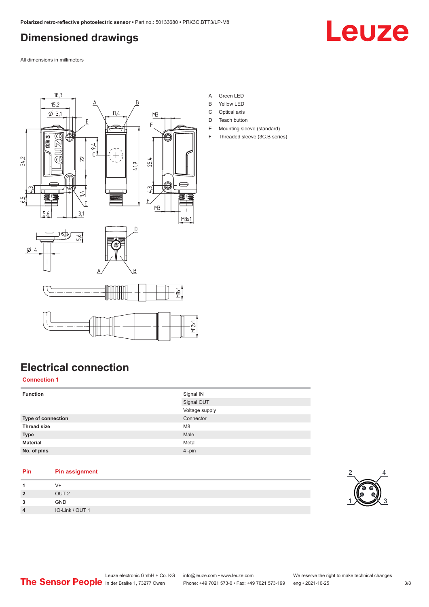## <span id="page-2-0"></span>**Dimensioned drawings**

**Leuze** 

All dimensions in millimeters



**Electrical connection**

#### **Connection 1**

| <b>Function</b>    | Signal IN      |
|--------------------|----------------|
|                    | Signal OUT     |
|                    | Voltage supply |
| Type of connection | Connector      |
| <b>Thread size</b> | M <sub>8</sub> |
| <b>Type</b>        | Male           |
| <b>Material</b>    | Metal          |
| No. of pins        | 4-pin          |

| Pin            | <b>Pin assignment</b> |
|----------------|-----------------------|
| 1              | V+                    |
| $\overline{2}$ | OUT <sub>2</sub>      |
| 3              | <b>GND</b>            |
| 4              | IO-Link / OUT 1       |

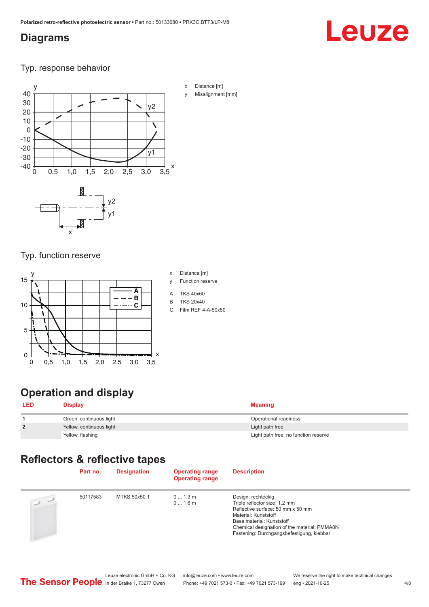### <span id="page-3-0"></span>**Diagrams**

## Leuze

Typ. response behavior



- x Distance [m]
- Misalignment [mm]

Typ. function reserve

x



## **Operation and display**

| <b>LED</b>     | Display                  | <b>Meaning</b>                       |
|----------------|--------------------------|--------------------------------------|
|                | Green, continuous light  | Operational readiness                |
| $\overline{2}$ | Yellow, continuous light | Light path free                      |
|                | Yellow, flashing         | Light path free, no function reserve |

## **Reflectors & reflective tapes**

| Part no. | <b>Designation</b> | <b>Operating range</b><br><b>Operating range</b> | <b>Description</b>                                                                                                                                                                                                                         |
|----------|--------------------|--------------------------------------------------|--------------------------------------------------------------------------------------------------------------------------------------------------------------------------------------------------------------------------------------------|
| 50117583 | MTKS 50x50.1       | $01.3$ m<br>$01.6$ m                             | Design: rechteckig<br>Triple reflector size: 1.2 mm<br>Reflective surface: 50 mm x 50 mm<br>Material: Kunststoff<br>Base material: Kunststoff<br>Chemical designation of the material: PMMA8N<br>Fastening: Durchgangsbefestigung, klebbar |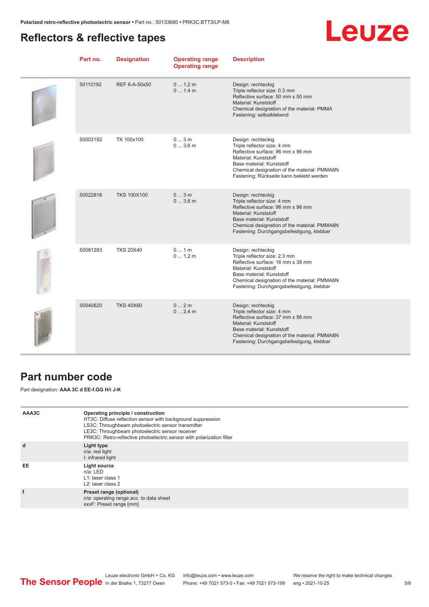## <span id="page-4-0"></span>**Reflectors & reflective tapes**



| Part no. | <b>Designation</b> | <b>Operating range</b><br><b>Operating range</b> | <b>Description</b>                                                                                                                                                                                                                         |
|----------|--------------------|--------------------------------------------------|--------------------------------------------------------------------------------------------------------------------------------------------------------------------------------------------------------------------------------------------|
| 50110192 | REF 6-A-50x50      | 0 1.2 m<br>01.4m                                 | Design: rechteckig<br>Triple reflector size: 0.3 mm<br>Reflective surface: 50 mm x 50 mm<br>Material: Kunststoff<br>Chemical designation of the material: PMMA<br>Fastening: selbstklebend                                                 |
| 50003192 | TK 100x100         | 03m<br>03.6m                                     | Design: rechteckig<br>Triple reflector size: 4 mm<br>Reflective surface: 96 mm x 96 mm<br>Material: Kunststoff<br>Base material: Kunststoff<br>Chemical designation of the material: PMMA8N<br>Fastening: Rückseite kann beklebt werden    |
| 50022816 | <b>TKS 100X100</b> | 03m<br>03.6m                                     | Design: rechteckig<br>Triple reflector size: 4 mm<br>Reflective surface: 96 mm x 96 mm<br>Material: Kunststoff<br>Base material: Kunststoff<br>Chemical designation of the material: PMMA8N<br>Fastening: Durchgangsbefestigung, klebbar   |
| 50081283 | <b>TKS 20X40</b>   | 01m<br>0 1.2 m                                   | Design: rechteckig<br>Triple reflector size: 2.3 mm<br>Reflective surface: 16 mm x 38 mm<br>Material: Kunststoff<br>Base material: Kunststoff<br>Chemical designation of the material: PMMA8N<br>Fastening: Durchgangsbefestigung, klebbar |
| 50040820 | <b>TKS 40X60</b>   | 02m<br>02.4m                                     | Design: rechteckig<br>Triple reflector size: 4 mm<br>Reflective surface: 37 mm x 56 mm<br>Material: Kunststoff<br>Base material: Kunststoff<br>Chemical designation of the material: PMMA8N<br>Fastening: Durchgangsbefestigung, klebbar   |

### **Part number code**

Part designation: **AAA 3C d EE-f.GG H/i J-K**

| AAA3C | Operating principle / construction<br>HT3C: Diffuse reflection sensor with background suppression<br>LS3C: Throughbeam photoelectric sensor transmitter<br>LE3C: Throughbeam photoelectric sensor receiver<br>PRK3C: Retro-reflective photoelectric sensor with polarization filter |
|-------|-------------------------------------------------------------------------------------------------------------------------------------------------------------------------------------------------------------------------------------------------------------------------------------|
| d     | Light type<br>n/a: red light<br>I: infrared light                                                                                                                                                                                                                                   |
| EE    | Light source<br>$n/a$ : LED<br>L1: laser class 1<br>L <sub>2</sub> : laser class 2                                                                                                                                                                                                  |
|       | Preset range (optional)<br>n/a: operating range acc. to data sheet<br>xxxF: Preset range [mm]                                                                                                                                                                                       |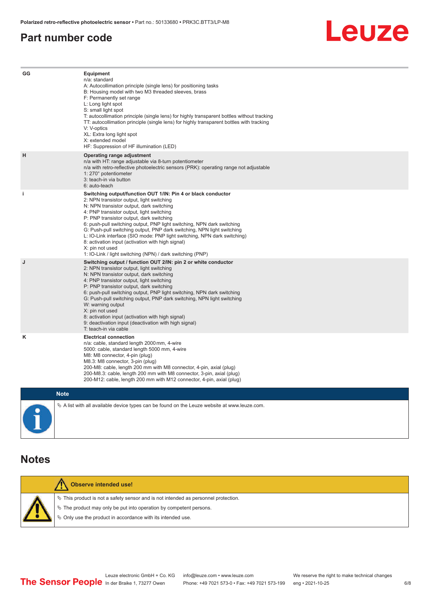#### <span id="page-5-0"></span>**Part number code**



| GG          | Equipment<br>n/a: standard<br>A: Autocollimation principle (single lens) for positioning tasks<br>B: Housing model with two M3 threaded sleeves, brass<br>F: Permanently set range<br>L: Long light spot<br>S: small light spot<br>T: autocollimation principle (single lens) for highly transparent bottles without tracking<br>TT: autocollimation principle (single lens) for highly transparent bottles with tracking<br>V: V-optics<br>XL: Extra long light spot<br>X: extended model<br>HF: Suppression of HF illumination (LED)                                                                              |
|-------------|---------------------------------------------------------------------------------------------------------------------------------------------------------------------------------------------------------------------------------------------------------------------------------------------------------------------------------------------------------------------------------------------------------------------------------------------------------------------------------------------------------------------------------------------------------------------------------------------------------------------|
| н           | Operating range adjustment<br>n/a with HT: range adjustable via 8-turn potentiometer<br>n/a with retro-reflective photoelectric sensors (PRK): operating range not adjustable<br>1: 270° potentiometer<br>3: teach-in via button<br>6: auto-teach                                                                                                                                                                                                                                                                                                                                                                   |
| j.          | Switching output/function OUT 1/IN: Pin 4 or black conductor<br>2: NPN transistor output, light switching<br>N: NPN transistor output, dark switching<br>4: PNP transistor output, light switching<br>P: PNP transistor output, dark switching<br>6: push-pull switching output, PNP light switching, NPN dark switching<br>G: Push-pull switching output, PNP dark switching, NPN light switching<br>L: IO-Link interface (SIO mode: PNP light switching, NPN dark switching)<br>8: activation input (activation with high signal)<br>X: pin not used<br>1: IO-Link / light switching (NPN) / dark switching (PNP) |
| J           | Switching output / function OUT 2/IN: pin 2 or white conductor<br>2: NPN transistor output, light switching<br>N: NPN transistor output, dark switching<br>4: PNP transistor output, light switching<br>P: PNP transistor output, dark switching<br>6: push-pull switching output, PNP light switching, NPN dark switching<br>G: Push-pull switching output, PNP dark switching, NPN light switching<br>W: warning output<br>X: pin not used<br>8: activation input (activation with high signal)<br>9: deactivation input (deactivation with high signal)<br>T: teach-in via cable                                 |
| κ           | <b>Electrical connection</b><br>n/a: cable, standard length 2000 mm, 4-wire<br>5000: cable, standard length 5000 mm, 4-wire<br>M8: M8 connector, 4-pin (plug)<br>M8.3: M8 connector, 3-pin (plug)<br>200-M8: cable, length 200 mm with M8 connector, 4-pin, axial (plug)<br>200-M8.3: cable, length 200 mm with M8 connector, 3-pin, axial (plug)<br>200-M12: cable, length 200 mm with M12 connector, 4-pin, axial (plug)                                                                                                                                                                                          |
| <b>Note</b> |                                                                                                                                                                                                                                                                                                                                                                                                                                                                                                                                                                                                                     |

 $\%$  A list with all available device types can be found on the Leuze website at www.leuze.com.

#### **Notes**

| Observe intended use!                                                                 |
|---------------------------------------------------------------------------------------|
| $\%$ This product is not a safety sensor and is not intended as personnel protection. |
| $\%$ The product may only be put into operation by competent persons.                 |
| ♦ Only use the product in accordance with its intended use.                           |
|                                                                                       |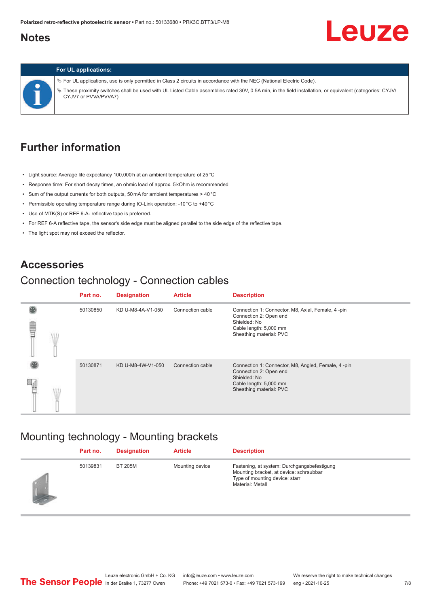#### <span id="page-6-0"></span>**Notes**

## Leuze

#### **For UL applications:**

ª For UL applications, use is only permitted in Class 2 circuits in accordance with the NEC (National Electric Code). ª These proximity switches shall be used with UL Listed Cable assemblies rated 30V, 0.5A min, in the field installation, or equivalent (categories: CYJV/ CYJV7 or PVVA/PVVA7)

#### **Further information**

- Light source: Average life expectancy 100,000 h at an ambient temperature of 25 °C
- Response time: For short decay times, an ohmic load of approx. 5 kOhm is recommended
- Sum of the output currents for both outputs, 50 mA for ambient temperatures > 40 °C
- Permissible operating temperature range during IO-Link operation: -10 °C to +40 °C
- Use of MTK(S) or REF 6-A- reflective tape is preferred.
- For REF 6-A reflective tape, the sensor's side edge must be aligned parallel to the side edge of the reflective tape.
- The light spot may not exceed the reflector.

#### **Accessories**

#### Connection technology - Connection cables

|   | Part no. | <b>Designation</b> | <b>Article</b>   | <b>Description</b>                                                                                                                                |
|---|----------|--------------------|------------------|---------------------------------------------------------------------------------------------------------------------------------------------------|
| ŧ | 50130850 | KD U-M8-4A-V1-050  | Connection cable | Connection 1: Connector, M8, Axial, Female, 4-pin<br>Connection 2: Open end<br>Shielded: No<br>Cable length: 5,000 mm<br>Sheathing material: PVC  |
|   | 50130871 | KD U-M8-4W-V1-050  | Connection cable | Connection 1: Connector, M8, Angled, Female, 4-pin<br>Connection 2: Open end<br>Shielded: No<br>Cable length: 5,000 mm<br>Sheathing material: PVC |

#### Mounting technology - Mounting brackets

|             | Part no. | <b>Designation</b> | <b>Article</b>  | <b>Description</b>                                                                                                                           |
|-------------|----------|--------------------|-----------------|----------------------------------------------------------------------------------------------------------------------------------------------|
| $L_{\odot}$ | 50139831 | <b>BT 205M</b>     | Mounting device | Fastening, at system: Durchgangsbefestigung<br>Mounting bracket, at device: schraubbar<br>Type of mounting device: starr<br>Material: Metall |